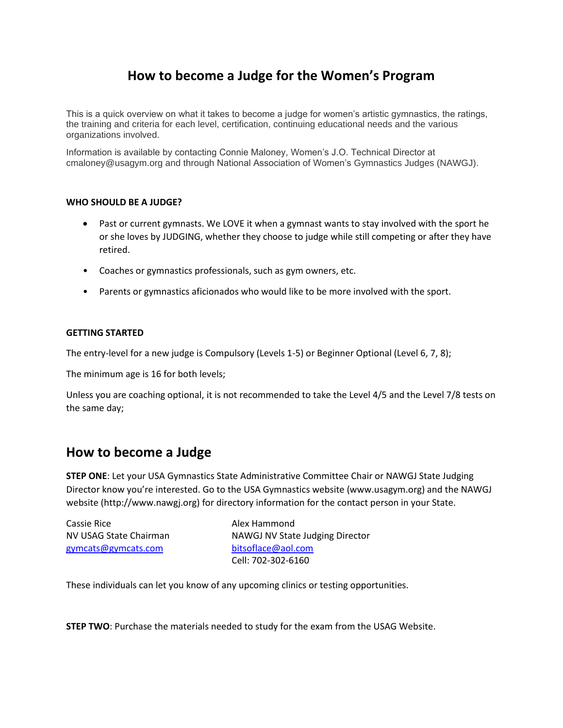# **How to become a Judge for the Women's Program**

This is a quick overview on what it takes to become a judge for women's artistic gymnastics, the ratings, the training and criteria for each level, certification, continuing educational needs and the various organizations involved.

Information is available by contacting Connie Maloney, Women's J.O. Technical Director at cmaloney@usagym.org and through National Association of Women's Gymnastics Judges (NAWGJ).

## **WHO SHOULD BE A JUDGE?**

- Past or current gymnasts. We LOVE it when a gymnast wants to stay involved with the sport he or she loves by JUDGING, whether they choose to judge while still competing or after they have retired.
- Coaches or gymnastics professionals, such as gym owners, etc.
- Parents or gymnastics aficionados who would like to be more involved with the sport.

#### **GETTING STARTED**

The entry-level for a new judge is Compulsory (Levels 1-5) or Beginner Optional (Level 6, 7, 8);

The minimum age is 16 for both levels;

Unless you are coaching optional, it is not recommended to take the Level 4/5 and the Level 7/8 tests on the same day;

## **How to become a Judge**

**STEP ONE**: Let your USA Gymnastics State Administrative Committee Chair or NAWGJ State Judging Director know you're interested. Go to the USA Gymnastics website (www.usagym.org) and the NAWGJ website (http://www.nawgj.org) for directory information for the contact person in your State.

| Cassie Rice            | Alex Hammond                    |
|------------------------|---------------------------------|
| NV USAG State Chairman | NAWGJ NV State Judging Director |
| gymcats@gymcats.com    | bitsoflace@aol.com              |
|                        | Cell: 702-302-6160              |

These individuals can let you know of any upcoming clinics or testing opportunities.

**STEP TWO**: Purchase the materials needed to study for the exam from the USAG Website.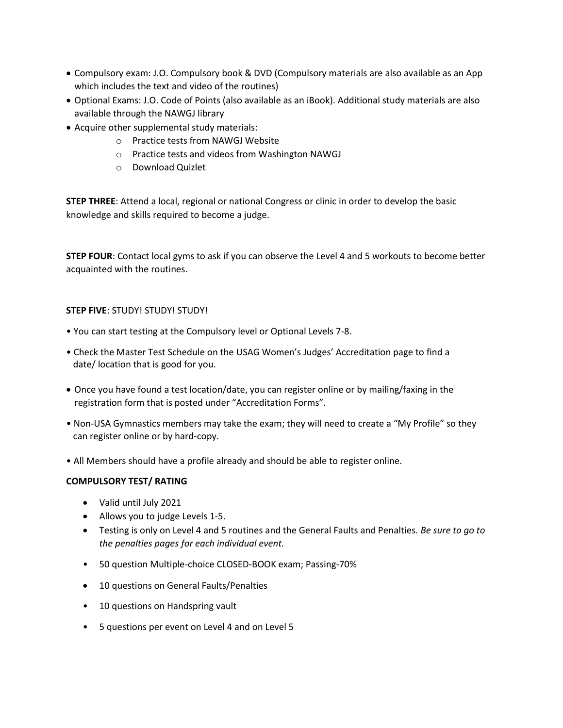- Compulsory exam: J.O. Compulsory book & DVD (Compulsory materials are also available as an App which includes the text and video of the routines)
- Optional Exams: J.O. Code of Points (also available as an iBook). Additional study materials are also available through the NAWGJ library
- Acquire other supplemental study materials:
	- o Practice tests from NAWGJ Website
	- o Practice tests and videos from Washington NAWGJ
	- o Download Quizlet

**STEP THREE**: Attend a local, regional or national Congress or clinic in order to develop the basic knowledge and skills required to become a judge.

**STEP FOUR**: Contact local gyms to ask if you can observe the Level 4 and 5 workouts to become better acquainted with the routines.

## **STEP FIVE**: STUDY! STUDY! STUDY!

- You can start testing at the Compulsory level or Optional Levels 7-8.
- Check the Master Test Schedule on the USAG Women's Judges' Accreditation page to find a date/ location that is good for you.
- Once you have found a test location/date, you can register online or by mailing/faxing in the registration form that is posted under "Accreditation Forms".
- Non-USA Gymnastics members may take the exam; they will need to create a "My Profile" so they can register online or by hard-copy.
- All Members should have a profile already and should be able to register online.

## **COMPULSORY TEST/ RATING**

- Valid until July 2021
- Allows you to judge Levels 1-5.
- Testing is only on Level 4 and 5 routines and the General Faults and Penalties. *Be sure to go to the penalties pages for each individual event.*
- 50 question Multiple-choice CLOSED-BOOK exam; Passing-70%
- 10 questions on General Faults/Penalties
- 10 questions on Handspring vault
- 5 questions per event on Level 4 and on Level 5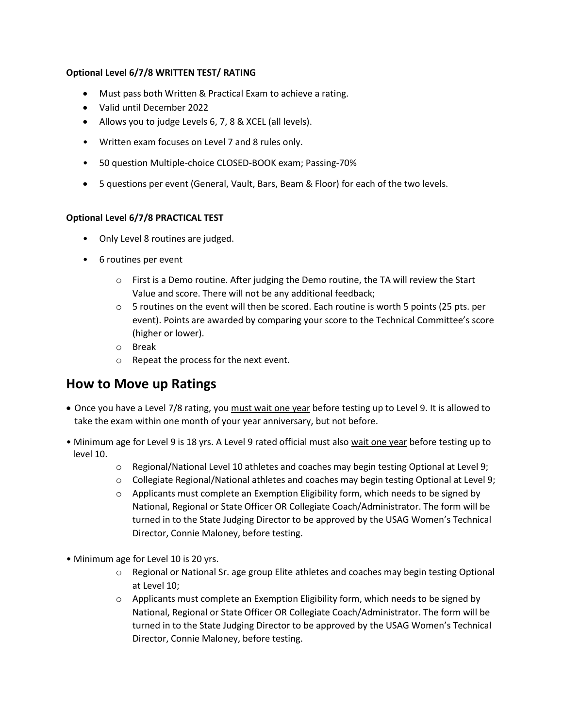## **Optional Level 6/7/8 WRITTEN TEST/ RATING**

- Must pass both Written & Practical Exam to achieve a rating.
- Valid until December 2022
- Allows you to judge Levels 6, 7, 8 & XCEL (all levels).
- Written exam focuses on Level 7 and 8 rules only.
- 50 question Multiple-choice CLOSED-BOOK exam; Passing-70%
- 5 questions per event (General, Vault, Bars, Beam & Floor) for each of the two levels.

## **Optional Level 6/7/8 PRACTICAL TEST**

- Only Level 8 routines are judged.
- 6 routines per event
	- $\circ$  First is a Demo routine. After judging the Demo routine, the TA will review the Start Value and score. There will not be any additional feedback;
	- $\circ$  5 routines on the event will then be scored. Each routine is worth 5 points (25 pts. per event). Points are awarded by comparing your score to the Technical Committee's score (higher or lower).
	- o Break
	- o Repeat the process for the next event.

# **How to Move up Ratings**

- Once you have a Level 7/8 rating, you must wait one year before testing up to Level 9. It is allowed to take the exam within one month of your year anniversary, but not before.
- Minimum age for Level 9 is 18 yrs. A Level 9 rated official must also wait one year before testing up to level 10.
	- $\circ$  Regional/National Level 10 athletes and coaches may begin testing Optional at Level 9;
	- o Collegiate Regional/National athletes and coaches may begin testing Optional at Level 9;
	- $\circ$  Applicants must complete an Exemption Eligibility form, which needs to be signed by National, Regional or State Officer OR Collegiate Coach/Administrator. The form will be turned in to the State Judging Director to be approved by the USAG Women's Technical Director, Connie Maloney, before testing.
- Minimum age for Level 10 is 20 yrs.
	- $\circ$  Regional or National Sr. age group Elite athletes and coaches may begin testing Optional at Level 10;
	- $\circ$  Applicants must complete an Exemption Eligibility form, which needs to be signed by National, Regional or State Officer OR Collegiate Coach/Administrator. The form will be turned in to the State Judging Director to be approved by the USAG Women's Technical Director, Connie Maloney, before testing.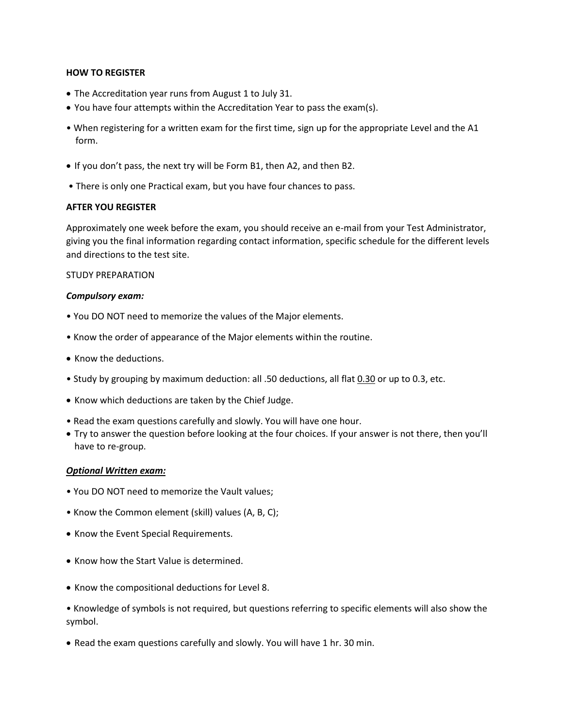#### **HOW TO REGISTER**

- The Accreditation year runs from August 1 to July 31.
- You have four attempts within the Accreditation Year to pass the exam(s).
- When registering for a written exam for the first time, sign up for the appropriate Level and the A1 form.
- If you don't pass, the next try will be Form B1, then A2, and then B2.
- There is only one Practical exam, but you have four chances to pass.

#### **AFTER YOU REGISTER**

Approximately one week before the exam, you should receive an e-mail from your Test Administrator, giving you the final information regarding contact information, specific schedule for the different levels and directions to the test site.

#### STUDY PREPARATION

#### *Compulsory exam:*

- You DO NOT need to memorize the values of the Major elements.
- Know the order of appearance of the Major elements within the routine.
- Know the deductions.
- Study by grouping by maximum deduction: all .50 deductions, all flat 0.30 or up to 0.3, etc.
- Know which deductions are taken by the Chief Judge.
- Read the exam questions carefully and slowly. You will have one hour.
- Try to answer the question before looking at the four choices. If your answer is not there, then you'll have to re-group.

#### *Optional Written exam:*

- You DO NOT need to memorize the Vault values;
- Know the Common element (skill) values (A, B, C);
- Know the Event Special Requirements.
- Know how the Start Value is determined.
- Know the compositional deductions for Level 8.
- Knowledge of symbols is not required, but questions referring to specific elements will also show the symbol.
- Read the exam questions carefully and slowly. You will have 1 hr. 30 min.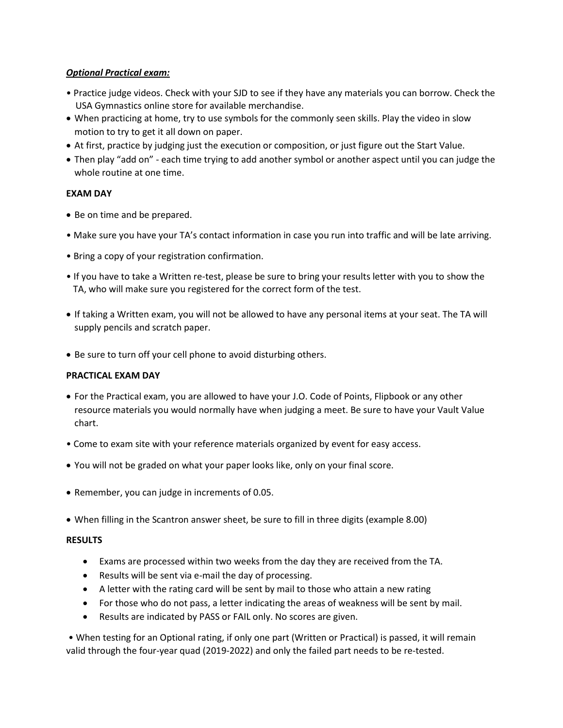## *Optional Practical exam:*

- Practice judge videos. Check with your SJD to see if they have any materials you can borrow. Check the USA Gymnastics online store for available merchandise.
- When practicing at home, try to use symbols for the commonly seen skills. Play the video in slow motion to try to get it all down on paper.
- At first, practice by judging just the execution or composition, or just figure out the Start Value.
- Then play "add on" each time trying to add another symbol or another aspect until you can judge the whole routine at one time.

## **EXAM DAY**

- Be on time and be prepared.
- Make sure you have your TA's contact information in case you run into traffic and will be late arriving.
- Bring a copy of your registration confirmation.
- If you have to take a Written re-test, please be sure to bring your results letter with you to show the TA, who will make sure you registered for the correct form of the test.
- If taking a Written exam, you will not be allowed to have any personal items at your seat. The TA will supply pencils and scratch paper.
- Be sure to turn off your cell phone to avoid disturbing others.

## **PRACTICAL EXAM DAY**

- For the Practical exam, you are allowed to have your J.O. Code of Points, Flipbook or any other resource materials you would normally have when judging a meet. Be sure to have your Vault Value chart.
- Come to exam site with your reference materials organized by event for easy access.
- You will not be graded on what your paper looks like, only on your final score.
- Remember, you can judge in increments of 0.05.
- When filling in the Scantron answer sheet, be sure to fill in three digits (example 8.00)

## **RESULTS**

- Exams are processed within two weeks from the day they are received from the TA.
- Results will be sent via e-mail the day of processing.
- A letter with the rating card will be sent by mail to those who attain a new rating
- For those who do not pass, a letter indicating the areas of weakness will be sent by mail.
- Results are indicated by PASS or FAIL only. No scores are given.

• When testing for an Optional rating, if only one part (Written or Practical) is passed, it will remain valid through the four-year quad (2019-2022) and only the failed part needs to be re-tested.